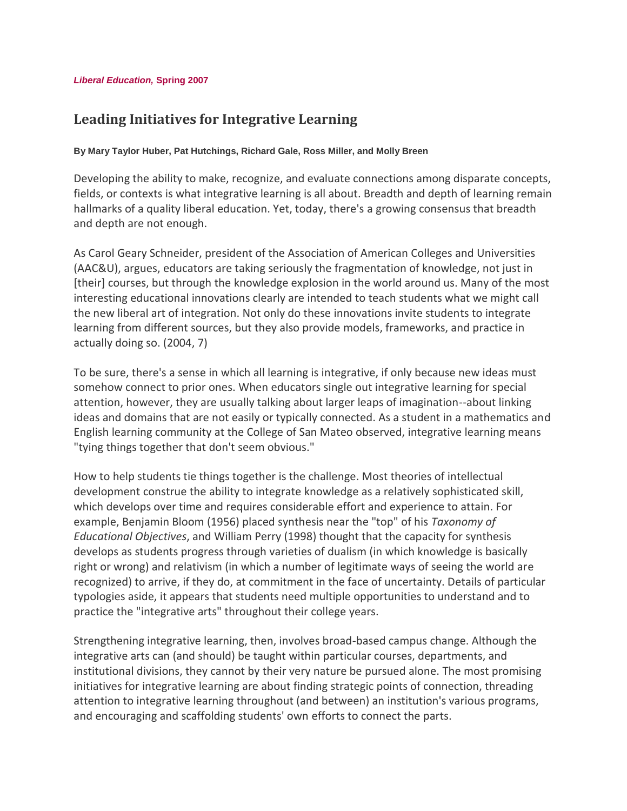# **Leading Initiatives for Integrative Learning**

#### **By Mary Taylor Huber, Pat Hutchings, Richard Gale, Ross Miller, and Molly Breen**

Developing the ability to make, recognize, and evaluate connections among disparate concepts, fields, or contexts is what integrative learning is all about. Breadth and depth of learning remain hallmarks of a quality liberal education. Yet, today, there's a growing consensus that breadth and depth are not enough.

As Carol Geary Schneider, president of the Association of American Colleges and Universities (AAC&U), argues, educators are taking seriously the fragmentation of knowledge, not just in [their] courses, but through the knowledge explosion in the world around us. Many of the most interesting educational innovations clearly are intended to teach students what we might call the new liberal art of integration. Not only do these innovations invite students to integrate learning from different sources, but they also provide models, frameworks, and practice in actually doing so. (2004, 7)

To be sure, there's a sense in which all learning is integrative, if only because new ideas must somehow connect to prior ones. When educators single out integrative learning for special attention, however, they are usually talking about larger leaps of imagination--about linking ideas and domains that are not easily or typically connected. As a student in a mathematics and English learning community at the College of San Mateo observed, integrative learning means "tying things together that don't seem obvious."

How to help students tie things together is the challenge. Most theories of intellectual development construe the ability to integrate knowledge as a relatively sophisticated skill, which develops over time and requires considerable effort and experience to attain. For example, Benjamin Bloom (1956) placed synthesis near the "top" of his *Taxonomy of Educational Objectives*, and William Perry (1998) thought that the capacity for synthesis develops as students progress through varieties of dualism (in which knowledge is basically right or wrong) and relativism (in which a number of legitimate ways of seeing the world are recognized) to arrive, if they do, at commitment in the face of uncertainty. Details of particular typologies aside, it appears that students need multiple opportunities to understand and to practice the "integrative arts" throughout their college years.

Strengthening integrative learning, then, involves broad-based campus change. Although the integrative arts can (and should) be taught within particular courses, departments, and institutional divisions, they cannot by their very nature be pursued alone. The most promising initiatives for integrative learning are about finding strategic points of connection, threading attention to integrative learning throughout (and between) an institution's various programs, and encouraging and scaffolding students' own efforts to connect the parts.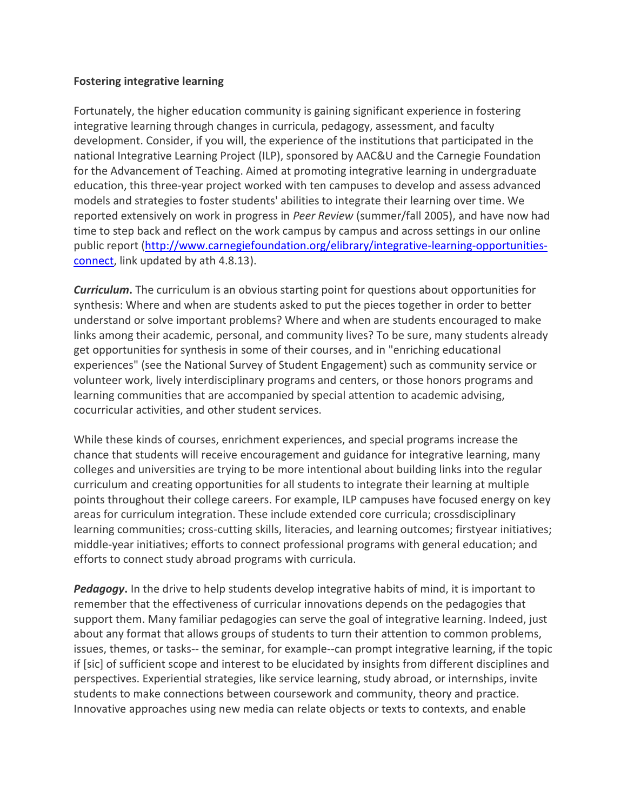## **Fostering integrative learning**

Fortunately, the higher education community is gaining significant experience in fostering integrative learning through changes in curricula, pedagogy, assessment, and faculty development. Consider, if you will, the experience of the institutions that participated in the national Integrative Learning Project (ILP), sponsored by AAC&U and the Carnegie Foundation for the Advancement of Teaching. Aimed at promoting integrative learning in undergraduate education, this three-year project worked with ten campuses to develop and assess advanced models and strategies to foster students' abilities to integrate their learning over time. We reported extensively on work in progress in *Peer Review* (summer/fall 2005), and have now had time to step back and reflect on the work campus by campus and across settings in our online public report [\(http://www.carnegiefoundation.org/elibrary/integrative-learning-opportunities](http://www.carnegiefoundation.org/elibrary/integrative-learning-opportunities-connect)[connect,](http://www.carnegiefoundation.org/elibrary/integrative-learning-opportunities-connect) link updated by ath 4.8.13).

*Curriculum***.** The curriculum is an obvious starting point for questions about opportunities for synthesis: Where and when are students asked to put the pieces together in order to better understand or solve important problems? Where and when are students encouraged to make links among their academic, personal, and community lives? To be sure, many students already get opportunities for synthesis in some of their courses, and in "enriching educational experiences" (see the National Survey of Student Engagement) such as community service or volunteer work, lively interdisciplinary programs and centers, or those honors programs and learning communities that are accompanied by special attention to academic advising, cocurricular activities, and other student services.

While these kinds of courses, enrichment experiences, and special programs increase the chance that students will receive encouragement and guidance for integrative learning, many colleges and universities are trying to be more intentional about building links into the regular curriculum and creating opportunities for all students to integrate their learning at multiple points throughout their college careers. For example, ILP campuses have focused energy on key areas for curriculum integration. These include extended core curricula; crossdisciplinary learning communities; cross-cutting skills, literacies, and learning outcomes; firstyear initiatives; middle-year initiatives; efforts to connect professional programs with general education; and efforts to connect study abroad programs with curricula.

*Pedagogy***.** In the drive to help students develop integrative habits of mind, it is important to remember that the effectiveness of curricular innovations depends on the pedagogies that support them. Many familiar pedagogies can serve the goal of integrative learning. Indeed, just about any format that allows groups of students to turn their attention to common problems, issues, themes, or tasks-- the seminar, for example--can prompt integrative learning, if the topic if [sic] of sufficient scope and interest to be elucidated by insights from different disciplines and perspectives. Experiential strategies, like service learning, study abroad, or internships, invite students to make connections between coursework and community, theory and practice. Innovative approaches using new media can relate objects or texts to contexts, and enable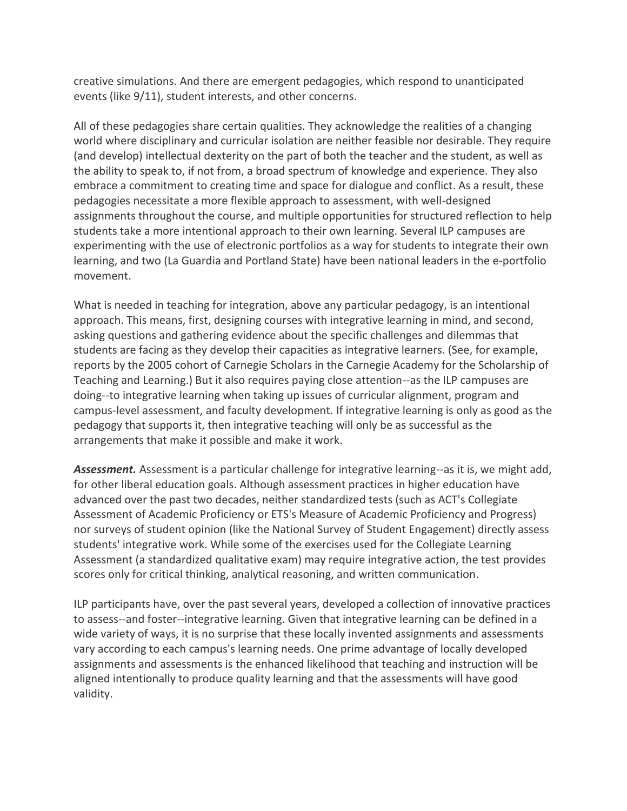creative simulations. And there are emergent pedagogies, which respond to unanticipated events (like 9/11), student interests, and other concerns.

All of these pedagogies share certain qualities. They acknowledge the realities of a changing world where disciplinary and curricular isolation are neither feasible nor desirable. They require (and develop) intellectual dexterity on the part of both the teacher and the student, as well as the ability to speak to, if not from, a broad spectrum of knowledge and experience. They also embrace a commitment to creating time and space for dialogue and conflict. As a result, these pedagogies necessitate a more flexible approach to assessment, with well-designed assignments throughout the course, and multiple opportunities for structured reflection to help students take a more intentional approach to their own learning. Several ILP campuses are experimenting with the use of electronic portfolios as a way for students to integrate their own learning, and two (La Guardia and Portland State) have been national leaders in the e-portfolio movement.

What is needed in teaching for integration, above any particular pedagogy, is an intentional approach. This means, first, designing courses with integrative learning in mind, and second, asking questions and gathering evidence about the specific challenges and dilemmas that students are facing as they develop their capacities as integrative learners. (See, for example, reports by the 2005 cohort of Carnegie Scholars in the Carnegie Academy for the Scholarship of Teaching and Learning.) But it also requires paying close attention--as the ILP campuses are doing--to integrative learning when taking up issues of curricular alignment, program and campus-level assessment, and faculty development. If integrative learning is only as good as the pedagogy that supports it, then integrative teaching will only be as successful as the arrangements that make it possible and make it work.

*Assessment.* Assessment is a particular challenge for integrative learning--as it is, we might add, for other liberal education goals. Although assessment practices in higher education have advanced over the past two decades, neither standardized tests (such as ACT's Collegiate Assessment of Academic Proficiency or ETS's Measure of Academic Proficiency and Progress) nor surveys of student opinion (like the National Survey of Student Engagement) directly assess students' integrative work. While some of the exercises used for the Collegiate Learning Assessment (a standardized qualitative exam) may require integrative action, the test provides scores only for critical thinking, analytical reasoning, and written communication.

ILP participants have, over the past several years, developed a collection of innovative practices to assess--and foster--integrative learning. Given that integrative learning can be defined in a wide variety of ways, it is no surprise that these locally invented assignments and assessments vary according to each campus's learning needs. One prime advantage of locally developed assignments and assessments is the enhanced likelihood that teaching and instruction will be aligned intentionally to produce quality learning and that the assessments will have good validity.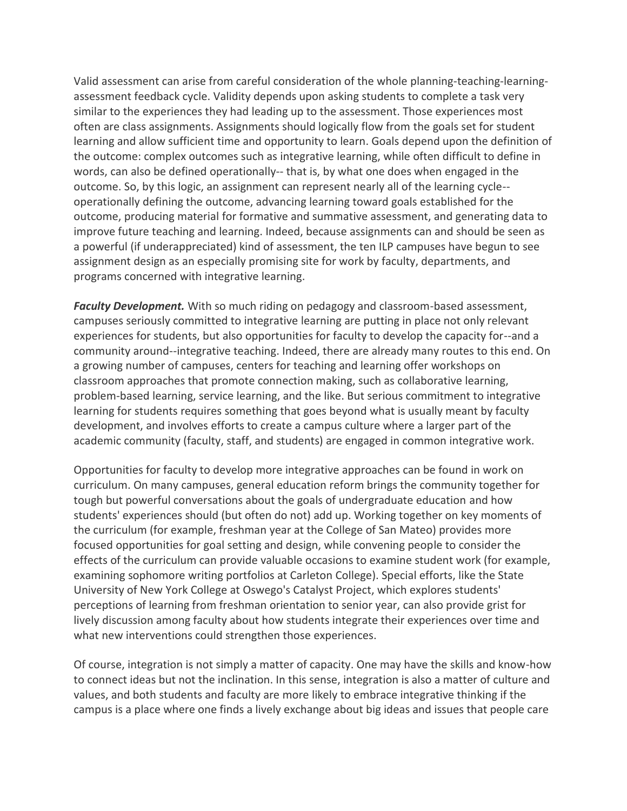Valid assessment can arise from careful consideration of the whole planning-teaching-learningassessment feedback cycle. Validity depends upon asking students to complete a task very similar to the experiences they had leading up to the assessment. Those experiences most often are class assignments. Assignments should logically flow from the goals set for student learning and allow sufficient time and opportunity to learn. Goals depend upon the definition of the outcome: complex outcomes such as integrative learning, while often difficult to define in words, can also be defined operationally-- that is, by what one does when engaged in the outcome. So, by this logic, an assignment can represent nearly all of the learning cycle- operationally defining the outcome, advancing learning toward goals established for the outcome, producing material for formative and summative assessment, and generating data to improve future teaching and learning. Indeed, because assignments can and should be seen as a powerful (if underappreciated) kind of assessment, the ten ILP campuses have begun to see assignment design as an especially promising site for work by faculty, departments, and programs concerned with integrative learning.

*Faculty Development.* With so much riding on pedagogy and classroom-based assessment, campuses seriously committed to integrative learning are putting in place not only relevant experiences for students, but also opportunities for faculty to develop the capacity for--and a community around--integrative teaching. Indeed, there are already many routes to this end. On a growing number of campuses, centers for teaching and learning offer workshops on classroom approaches that promote connection making, such as collaborative learning, problem-based learning, service learning, and the like. But serious commitment to integrative learning for students requires something that goes beyond what is usually meant by faculty development, and involves efforts to create a campus culture where a larger part of the academic community (faculty, staff, and students) are engaged in common integrative work.

Opportunities for faculty to develop more integrative approaches can be found in work on curriculum. On many campuses, general education reform brings the community together for tough but powerful conversations about the goals of undergraduate education and how students' experiences should (but often do not) add up. Working together on key moments of the curriculum (for example, freshman year at the College of San Mateo) provides more focused opportunities for goal setting and design, while convening people to consider the effects of the curriculum can provide valuable occasions to examine student work (for example, examining sophomore writing portfolios at Carleton College). Special efforts, like the State University of New York College at Oswego's Catalyst Project, which explores students' perceptions of learning from freshman orientation to senior year, can also provide grist for lively discussion among faculty about how students integrate their experiences over time and what new interventions could strengthen those experiences.

Of course, integration is not simply a matter of capacity. One may have the skills and know-how to connect ideas but not the inclination. In this sense, integration is also a matter of culture and values, and both students and faculty are more likely to embrace integrative thinking if the campus is a place where one finds a lively exchange about big ideas and issues that people care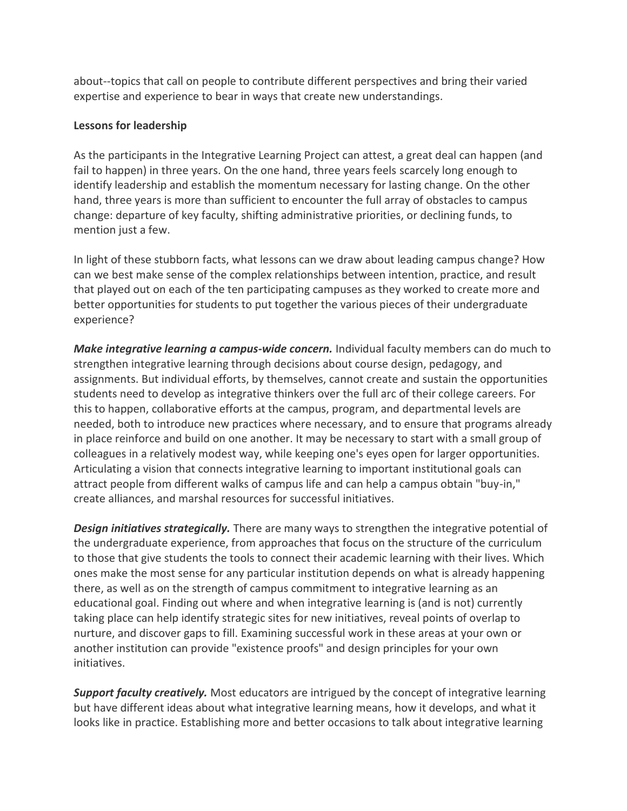about--topics that call on people to contribute different perspectives and bring their varied expertise and experience to bear in ways that create new understandings.

## **Lessons for leadership**

As the participants in the Integrative Learning Project can attest, a great deal can happen (and fail to happen) in three years. On the one hand, three years feels scarcely long enough to identify leadership and establish the momentum necessary for lasting change. On the other hand, three years is more than sufficient to encounter the full array of obstacles to campus change: departure of key faculty, shifting administrative priorities, or declining funds, to mention just a few.

In light of these stubborn facts, what lessons can we draw about leading campus change? How can we best make sense of the complex relationships between intention, practice, and result that played out on each of the ten participating campuses as they worked to create more and better opportunities for students to put together the various pieces of their undergraduate experience?

*Make integrative learning a campus-wide concern.* Individual faculty members can do much to strengthen integrative learning through decisions about course design, pedagogy, and assignments. But individual efforts, by themselves, cannot create and sustain the opportunities students need to develop as integrative thinkers over the full arc of their college careers. For this to happen, collaborative efforts at the campus, program, and departmental levels are needed, both to introduce new practices where necessary, and to ensure that programs already in place reinforce and build on one another. It may be necessary to start with a small group of colleagues in a relatively modest way, while keeping one's eyes open for larger opportunities. Articulating a vision that connects integrative learning to important institutional goals can attract people from different walks of campus life and can help a campus obtain "buy-in," create alliances, and marshal resources for successful initiatives.

*Design initiatives strategically.* There are many ways to strengthen the integrative potential of the undergraduate experience, from approaches that focus on the structure of the curriculum to those that give students the tools to connect their academic learning with their lives. Which ones make the most sense for any particular institution depends on what is already happening there, as well as on the strength of campus commitment to integrative learning as an educational goal. Finding out where and when integrative learning is (and is not) currently taking place can help identify strategic sites for new initiatives, reveal points of overlap to nurture, and discover gaps to fill. Examining successful work in these areas at your own or another institution can provide "existence proofs" and design principles for your own initiatives.

*Support faculty creatively.* Most educators are intrigued by the concept of integrative learning but have different ideas about what integrative learning means, how it develops, and what it looks like in practice. Establishing more and better occasions to talk about integrative learning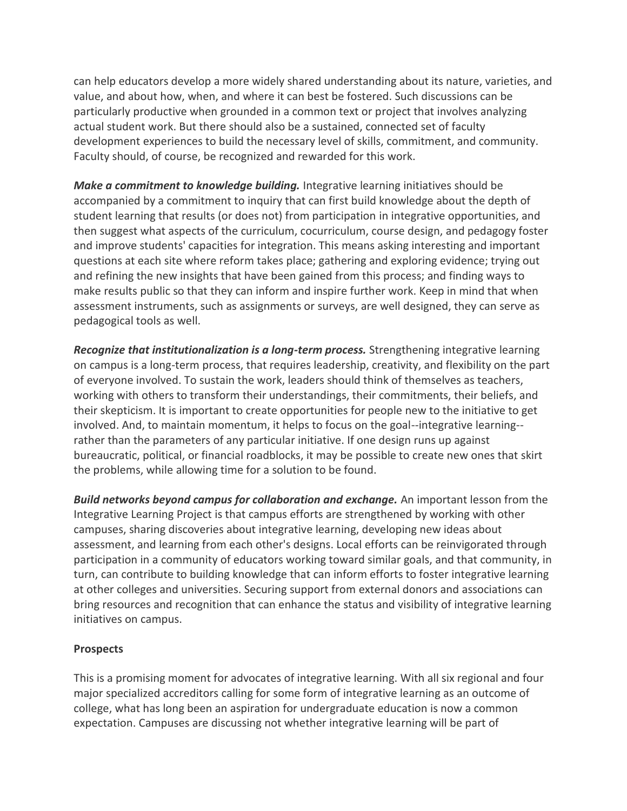can help educators develop a more widely shared understanding about its nature, varieties, and value, and about how, when, and where it can best be fostered. Such discussions can be particularly productive when grounded in a common text or project that involves analyzing actual student work. But there should also be a sustained, connected set of faculty development experiences to build the necessary level of skills, commitment, and community. Faculty should, of course, be recognized and rewarded for this work.

*Make a commitment to knowledge building.* Integrative learning initiatives should be accompanied by a commitment to inquiry that can first build knowledge about the depth of student learning that results (or does not) from participation in integrative opportunities, and then suggest what aspects of the curriculum, cocurriculum, course design, and pedagogy foster and improve students' capacities for integration. This means asking interesting and important questions at each site where reform takes place; gathering and exploring evidence; trying out and refining the new insights that have been gained from this process; and finding ways to make results public so that they can inform and inspire further work. Keep in mind that when assessment instruments, such as assignments or surveys, are well designed, they can serve as pedagogical tools as well.

*Recognize that institutionalization is a long-term process.* Strengthening integrative learning on campus is a long-term process, that requires leadership, creativity, and flexibility on the part of everyone involved. To sustain the work, leaders should think of themselves as teachers, working with others to transform their understandings, their commitments, their beliefs, and their skepticism. It is important to create opportunities for people new to the initiative to get involved. And, to maintain momentum, it helps to focus on the goal--integrative learning- rather than the parameters of any particular initiative. If one design runs up against bureaucratic, political, or financial roadblocks, it may be possible to create new ones that skirt the problems, while allowing time for a solution to be found.

*Build networks beyond campus for collaboration and exchange.* An important lesson from the Integrative Learning Project is that campus efforts are strengthened by working with other campuses, sharing discoveries about integrative learning, developing new ideas about assessment, and learning from each other's designs. Local efforts can be reinvigorated through participation in a community of educators working toward similar goals, and that community, in turn, can contribute to building knowledge that can inform efforts to foster integrative learning at other colleges and universities. Securing support from external donors and associations can bring resources and recognition that can enhance the status and visibility of integrative learning initiatives on campus.

### **Prospects**

This is a promising moment for advocates of integrative learning. With all six regional and four major specialized accreditors calling for some form of integrative learning as an outcome of college, what has long been an aspiration for undergraduate education is now a common expectation. Campuses are discussing not whether integrative learning will be part of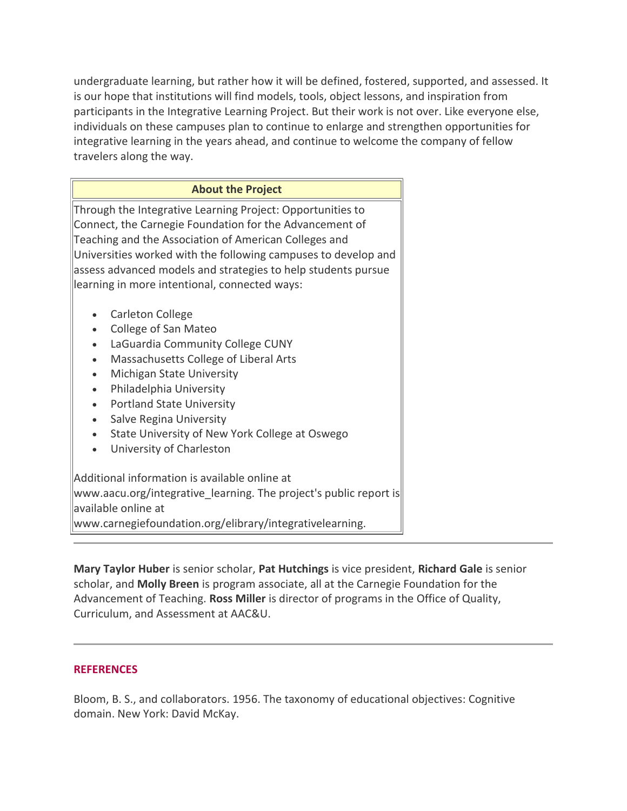undergraduate learning, but rather how it will be defined, fostered, supported, and assessed. It is our hope that institutions will find models, tools, object lessons, and inspiration from participants in the Integrative Learning Project. But their work is not over. Like everyone else, individuals on these campuses plan to continue to enlarge and strengthen opportunities for integrative learning in the years ahead, and continue to welcome the company of fellow travelers along the way.

| <b>About the Project</b>                                          |
|-------------------------------------------------------------------|
| Through the Integrative Learning Project: Opportunities to        |
| Connect, the Carnegie Foundation for the Advancement of           |
| Teaching and the Association of American Colleges and             |
| Universities worked with the following campuses to develop and    |
| assess advanced models and strategies to help students pursue     |
| learning in more intentional, connected ways:                     |
|                                                                   |
| Carleton College                                                  |
| College of San Mateo                                              |
| LaGuardia Community College CUNY<br>$\bullet$                     |
| Massachusetts College of Liberal Arts<br>$\bullet$                |
| Michigan State University<br>$\bullet$                            |
| Philadelphia University<br>$\bullet$                              |
| <b>Portland State University</b>                                  |
| Salve Regina University<br>$\bullet$                              |
| State University of New York College at Oswego<br>$\bullet$       |
| University of Charleston<br>$\bullet$                             |
|                                                                   |
| Additional information is available online at                     |
| www.aacu.org/integrative_learning. The project's public report is |
| available online at                                               |
| www.carnegiefoundation.org/elibrary/integrativelearning.          |

**Mary Taylor Huber** is senior scholar, **Pat Hutchings** is vice president, **Richard Gale** is senior scholar, and **Molly Breen** is program associate, all at the Carnegie Foundation for the Advancement of Teaching. **Ross Miller** is director of programs in the Office of Quality, Curriculum, and Assessment at AAC&U.

#### **REFERENCES**

Bloom, B. S., and collaborators. 1956. The taxonomy of educational objectives: Cognitive domain. New York: David McKay.